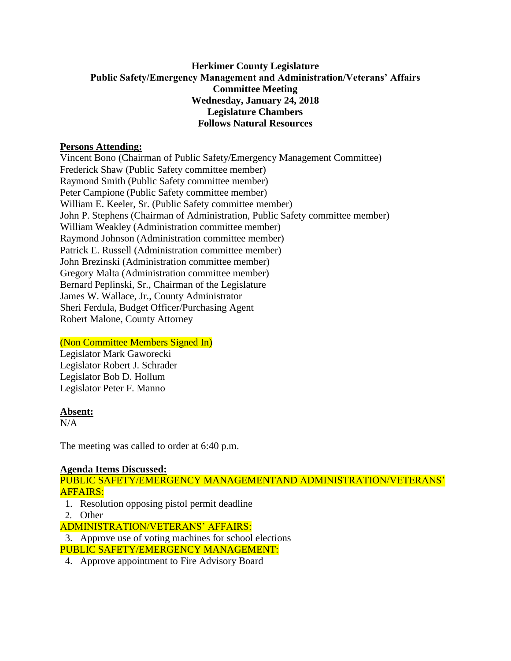## **Herkimer County Legislature Public Safety/Emergency Management and Administration/Veterans' Affairs Committee Meeting Wednesday, January 24, 2018 Legislature Chambers Follows Natural Resources**

## **Persons Attending:**

Vincent Bono (Chairman of Public Safety/Emergency Management Committee) Frederick Shaw (Public Safety committee member) Raymond Smith (Public Safety committee member) Peter Campione (Public Safety committee member) William E. Keeler, Sr. (Public Safety committee member) John P. Stephens (Chairman of Administration, Public Safety committee member) William Weakley (Administration committee member) Raymond Johnson (Administration committee member) Patrick E. Russell (Administration committee member) John Brezinski (Administration committee member) Gregory Malta (Administration committee member) Bernard Peplinski, Sr., Chairman of the Legislature James W. Wallace, Jr., County Administrator Sheri Ferdula, Budget Officer/Purchasing Agent Robert Malone, County Attorney

# (Non Committee Members Signed In)

Legislator Mark Gaworecki Legislator Robert J. Schrader Legislator Bob D. Hollum Legislator Peter F. Manno

#### **Absent:**

N/A

The meeting was called to order at 6:40 p.m.

#### **Agenda Items Discussed:**

PUBLIC SAFETY/EMERGENCY MANAGEMENTAND ADMINISTRATION/VETERANS' AFFAIRS:

- 1. Resolution opposing pistol permit deadline
- 2. Other

ADMINISTRATION/VETERANS' AFFAIRS:

3. Approve use of voting machines for school elections

PUBLIC SAFETY/EMERGENCY MANAGEMENT:

4. Approve appointment to Fire Advisory Board